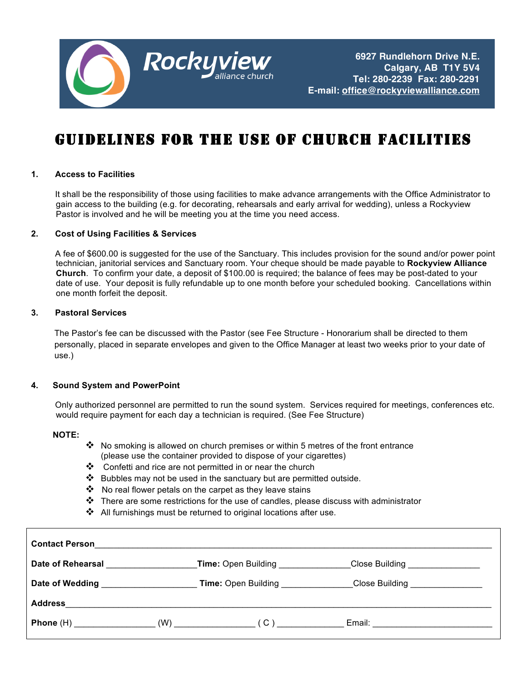

# GUIDELINES FOR THE USE OF CHURCH FACILITIES

#### **1. Access to Facilities**

 It shall be the responsibility of those using facilities to make advance arrangements with the Office Administrator to gain access to the building (e.g. for decorating, rehearsals and early arrival for wedding), unless a Rockyview Pastor is involved and he will be meeting you at the time you need access.

#### **2. Cost of Using Facilities & Services**

 A fee of \$600.00 is suggested for the use of the Sanctuary. This includes provision for the sound and/or power point technician, janitorial services and Sanctuary room. Your cheque should be made payable to **Rockyview Alliance Church**. To confirm your date, a deposit of \$100.00 is required; the balance of fees may be post-dated to your date of use. Your deposit is fully refundable up to one month before your scheduled booking. Cancellations within one month forfeit the deposit.

#### **3. Pastoral Services**

The Pastor's fee can be discussed with the Pastor (see Fee Structure - Honorarium shall be directed to them personally, placed in separate envelopes and given to the Office Manager at least two weeks prior to your date of use.)

#### **4. Sound System and PowerPoint**

 Only authorized personnel are permitted to run the sound system. Services required for meetings, conferences etc. would require payment for each day a technician is required. (See Fee Structure)

#### **NOTE:**

- $\clubsuit$  No smoking is allowed on church premises or within 5 metres of the front entrance (please use the container provided to dispose of your cigarettes)
- $\clubsuit$  Confetti and rice are not permitted in or near the church
- $\cdot \cdot$  Bubbles may not be used in the sanctuary but are permitted outside.
- $\cdot$  No real flower petals on the carpet as they leave stains
- $\clubsuit$  There are some restrictions for the use of candles, please discuss with administrator
- $\clubsuit$  All furnishings must be returned to original locations after use.

| <b>Contact Person</b>    |                                               |                                     |                                 |  |
|--------------------------|-----------------------------------------------|-------------------------------------|---------------------------------|--|
| <b>Date of Rehearsal</b> |                                               | Time: Open Building                 | Close Building ________________ |  |
| Date of Wedding          | <u> 1980 - Andrea Andrew Maria III (m. 19</u> | Time: Open Building _______________ | Close Building ________________ |  |
| <b>Address</b>           |                                               |                                     |                                 |  |
|                          |                                               |                                     |                                 |  |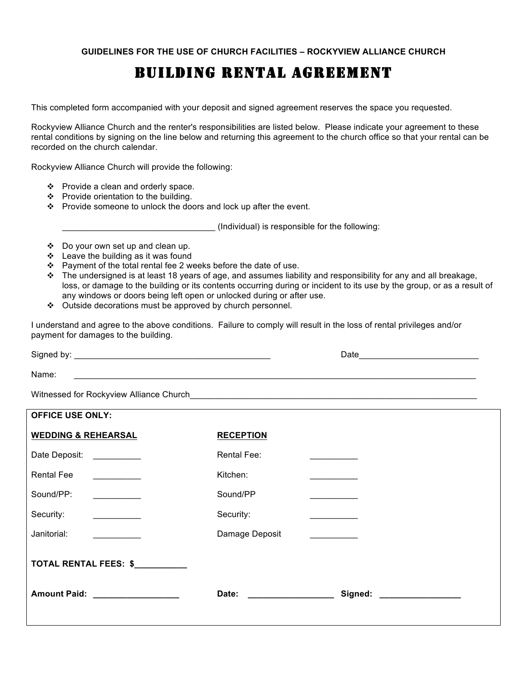### BUILDING RENTAL AGREEMENT

This completed form accompanied with your deposit and signed agreement reserves the space you requested.

Rockyview Alliance Church and the renter's responsibilities are listed below. Please indicate your agreement to these rental conditions by signing on the line below and returning this agreement to the church office so that your rental can be recorded on the church calendar.

Rockyview Alliance Church will provide the following:

- $\div$  Provide a clean and orderly space.
- ❖ Provide orientation to the building.
- \* Provide someone to unlock the doors and lock up after the event.

\_\_\_\_\_\_\_\_\_\_\_\_\_\_\_\_\_\_\_\_\_\_\_\_\_\_\_\_\_\_\_\_ (Individual) is responsible for the following:

- Do your own set up and clean up.
- $\cdot$  Leave the building as it was found
- $\div$  Payment of the total rental fee 2 weeks before the date of use.
- $\cdot \cdot$  The undersigned is at least 18 years of age, and assumes liability and responsibility for any and all breakage, loss, or damage to the building or its contents occurring during or incident to its use by the group, or as a result of any windows or doors being left open or unlocked during or after use.
- ❖ Outside decorations must be approved by church personnel.

I understand and agree to the above conditions. Failure to comply will result in the loss of rental privileges and/or payment for damages to the building.

Signed by: \_\_\_\_\_\_\_\_\_\_\_\_\_\_\_\_\_\_\_\_\_\_\_\_\_\_\_\_\_\_\_\_\_\_\_\_\_\_\_\_\_ Date\_\_\_\_\_\_\_\_\_\_\_\_\_\_\_\_\_\_\_\_\_\_\_\_\_ Name:  $\blacksquare$ 

Witnessed for Rockyview Alliance Church

| <b>OFFICE USE ONLY:</b>                                                                                                                                                                                                              |                  |                             |  |  |
|--------------------------------------------------------------------------------------------------------------------------------------------------------------------------------------------------------------------------------------|------------------|-----------------------------|--|--|
| <b>WEDDING &amp; REHEARSAL</b>                                                                                                                                                                                                       | <b>RECEPTION</b> |                             |  |  |
| Date Deposit:<br>$\frac{1}{2}$                                                                                                                                                                                                       | Rental Fee:      |                             |  |  |
| <b>Rental Fee</b>                                                                                                                                                                                                                    | Kitchen:         |                             |  |  |
| Sound/PP:                                                                                                                                                                                                                            | Sound/PP         |                             |  |  |
| Security:<br><u> 1989 - Jan Barnett, politik e</u>                                                                                                                                                                                   | Security:        |                             |  |  |
| Janitorial:                                                                                                                                                                                                                          | Damage Deposit   |                             |  |  |
| TOTAL RENTAL FEES: \$                                                                                                                                                                                                                |                  |                             |  |  |
| Amount Paid: <u>New York Bander and State and State and State and State and State and State and State and State and State and State and State and State and State and State and State and State and State and State and State an</u> | Date:            | Signed: ___________________ |  |  |
|                                                                                                                                                                                                                                      |                  |                             |  |  |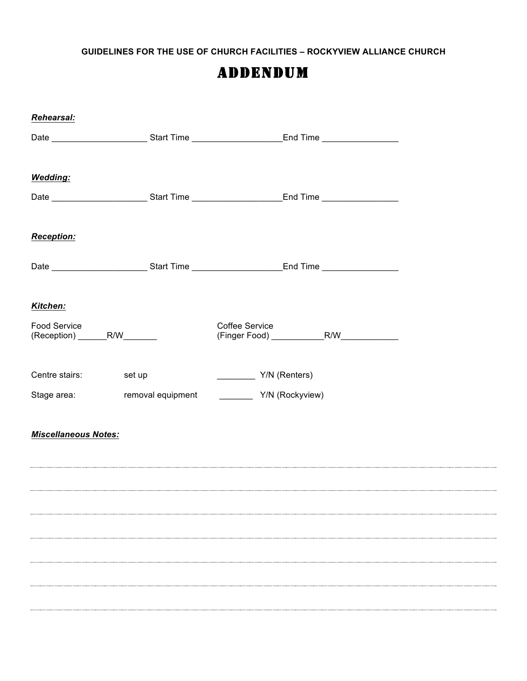**GUIDELINES FOR THE USE OF CHURCH FACILITIES – ROCKYVIEW ALLIANCE CHURCH**

### ADDENDUM

| Rehearsal:                  |                                                                                                     |  |
|-----------------------------|-----------------------------------------------------------------------------------------------------|--|
|                             |                                                                                                     |  |
|                             |                                                                                                     |  |
| <b>Wedding:</b>             |                                                                                                     |  |
|                             | Date ____________________________Start Time __________________________End Time ____________________ |  |
|                             |                                                                                                     |  |
| <b>Reception:</b>           |                                                                                                     |  |
|                             |                                                                                                     |  |
|                             |                                                                                                     |  |
|                             |                                                                                                     |  |
| Kitchen:                    |                                                                                                     |  |
| Food Service                | <b>Coffee Service</b>                                                                               |  |
|                             |                                                                                                     |  |
| Centre stairs: set up       | Y/N (Renters)                                                                                       |  |
|                             |                                                                                                     |  |
|                             |                                                                                                     |  |
| <b>Miscellaneous Notes:</b> |                                                                                                     |  |
|                             |                                                                                                     |  |
|                             |                                                                                                     |  |
|                             |                                                                                                     |  |
|                             |                                                                                                     |  |
|                             |                                                                                                     |  |
|                             |                                                                                                     |  |
|                             |                                                                                                     |  |
|                             |                                                                                                     |  |
|                             |                                                                                                     |  |